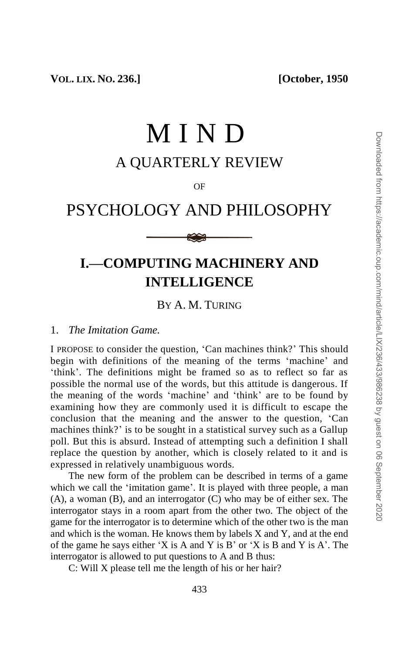# M I N D

# A QUARTERLY REVIEW

OF

# PSYCHOLOGY AND PHILOSOPHY

# **I.—COMPUTING MACHINERY AND INTELLIGENCE**

## BY A. M. TURING

### 1. *The Imitation Game.*

I PROPOSE to consider the question, 'Can machines think?' This should begin with definitions of the meaning of the terms 'machine' and 'think'. The definitions might be framed so as to reflect so far as possible the normal use of the words, but this attitude is dangerous. If the meaning of the words 'machine' and 'think' are to be found by examining how they are commonly used it is difficult to escape the conclusion that the meaning and the answer to the question, 'Can machines think?' is to be sought in a statistical survey such as a Gallup poll. But this is absurd. Instead of attempting such a definition I shall replace the question by another, which is closely related to it and is expressed in relatively unambiguous words.

The new form of the problem can be described in terms of a game which we call the 'imitation game'. It is played with three people, a man (A), a woman (B), and an interrogator (C) who may be of either sex. The interrogator stays in a room apart from the other two. The object of the game for the interrogator is to determine which of the other two is the man and which is the woman. He knows them by labels X and Y, and at the end of the game he says either 'X is A and Y is B' or 'X is B and Y is A'. The interrogator is allowed to put questions to A and B thus:

C: Will X please tell me the length of his or her hair?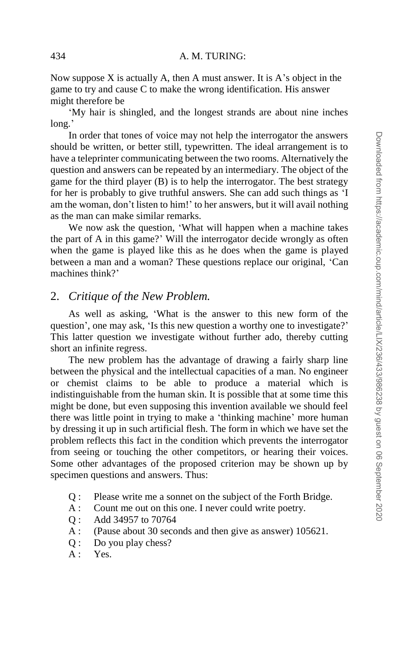Now suppose  $X$  is actually  $A$ , then  $A$  must answer. It is  $A$ 's object in the game to try and cause C to make the wrong identification. His answer might therefore be

'My hair is shingled, and the longest strands are about nine inches long.'

In order that tones of voice may not help the interrogator the answers should be written, or better still, typewritten. The ideal arrangement is to have a teleprinter communicating between the two rooms. Alternatively the question and answers can be repeated by an intermediary. The object of the game for the third player (B) is to help the interrogator. The best strategy for her is probably to give truthful answers. She can add such things as 'I am the woman, don't listen to him!' to her answers, but it will avail nothing as the man can make similar remarks.

We now ask the question, 'What will happen when a machine takes the part of A in this game?' Will the interrogator decide wrongly as often when the game is played like this as he does when the game is played between a man and a woman? These questions replace our original, 'Can machines think?'

### 2. *Critique of the New Problem.*

As well as asking, 'What is the answer to this new form of the question', one may ask, 'Is this new question a worthy one to investigate?' This latter question we investigate without further ado, thereby cutting short an infinite regress.

The new problem has the advantage of drawing a fairly sharp line between the physical and the intellectual capacities of a man. No engineer or chemist claims to be able to produce a material which is indistinguishable from the human skin. It is possible that at some time this might be done, but even supposing this invention available we should feel there was little point in trying to make a 'thinking machine' more human by dressing it up in such artificial flesh. The form in which we have set the problem reflects this fact in the condition which prevents the interrogator from seeing or touching the other competitors, or hearing their voices. Some other advantages of the proposed criterion may be shown up by specimen questions and answers. Thus:

- Q : Please write me a sonnet on the subject of the Forth Bridge.
- A : Count me out on this one. I never could write poetry.
- Q : Add 34957 to 70764
- A : (Pause about 30 seconds and then give as answer) 105621.
- Q : Do you play chess?
- A: Yes.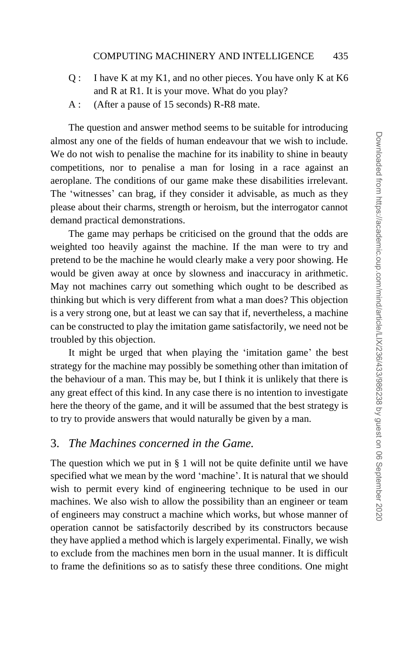- Q : I have K at my K1, and no other pieces. You have only K at K6 and R at R1. It is your move. What do you play?
- A : (After a pause of 15 seconds) R-R8 mate.

The question and answer method seems to be suitable for introducing almost any one of the fields of human endeavour that we wish to include. We do not wish to penalise the machine for its inability to shine in beauty competitions, nor to penalise a man for losing in a race against an aeroplane. The conditions of our game make these disabilities irrelevant. The 'witnesses' can brag, if they consider it advisable, as much as they please about their charms, strength or heroism, but the interrogator cannot demand practical demonstrations.

The game may perhaps be criticised on the ground that the odds are weighted too heavily against the machine. If the man were to try and pretend to be the machine he would clearly make a very poor showing. He would be given away at once by slowness and inaccuracy in arithmetic. May not machines carry out something which ought to be described as thinking but which is very different from what a man does? This objection is a very strong one, but at least we can say that if, nevertheless, a machine can be constructed to play the imitation game satisfactorily, we need not be troubled by this objection.

It might be urged that when playing the 'imitation game' the best strategy for the machine may possibly be something other than imitation of the behaviour of a man. This may be, but I think it is unlikely that there is any great effect of this kind. In any case there is no intention to investigate here the theory of the game, and it will be assumed that the best strategy is to try to provide answers that would naturally be given by a man.

### 3. *The Machines concerned in the Game.*

The question which we put in § 1 will not be quite definite until we have specified what we mean by the word 'machine'. It is natural that we should wish to permit every kind of engineering technique to be used in our machines. We also wish to allow the possibility than an engineer or team of engineers may construct a machine which works, but whose manner of operation cannot be satisfactorily described by its constructors because they have applied a method which is largely experimental. Finally, we wish to exclude from the machines men born in the usual manner. It is difficult to frame the definitions so as to satisfy these three conditions. One might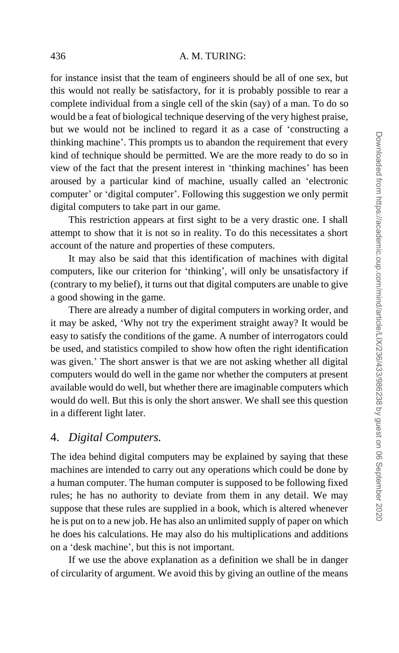for instance insist that the team of engineers should be all of one sex, but this would not really be satisfactory, for it is probably possible to rear a complete individual from a single cell of the skin (say) of a man. To do so would be a feat of biological technique deserving of the very highest praise, but we would not be inclined to regard it as a case of 'constructing a thinking machine'. This prompts us to abandon the requirement that every kind of technique should be permitted. We are the more ready to do so in view of the fact that the present interest in 'thinking machines' has been aroused by a particular kind of machine, usually called an 'electronic computer' or 'digital computer'. Following this suggestion we only permit digital computers to take part in our game.

This restriction appears at first sight to be a very drastic one. I shall attempt to show that it is not so in reality. To do this necessitates a short account of the nature and properties of these computers.

It may also be said that this identification of machines with digital computers, like our criterion for 'thinking', will only be unsatisfactory if (contrary to my belief), it turns out that digital computers are unable to give a good showing in the game.

There are already a number of digital computers in working order, and it may be asked, 'Why not try the experiment straight away? It would be easy to satisfy the conditions of the game. A number of interrogators could be used, and statistics compiled to show how often the right identification was given.' The short answer is that we are not asking whether all digital computers would do well in the game nor whether the computers at present available would do well, but whether there are imaginable computers which would do well. But this is only the short answer. We shall see this question in a different light later.

### 4. *Digital Computers.*

The idea behind digital computers may be explained by saying that these machines are intended to carry out any operations which could be done by a human computer. The human computer is supposed to be following fixed rules; he has no authority to deviate from them in any detail. We may suppose that these rules are supplied in a book, which is altered whenever he is put on to a new job. He has also an unlimited supply of paper on which he does his calculations. He may also do his multiplications and additions on a 'desk machine', but this is not important.

If we use the above explanation as a definition we shall be in danger of circularity of argument. We avoid this by giving an outline of the means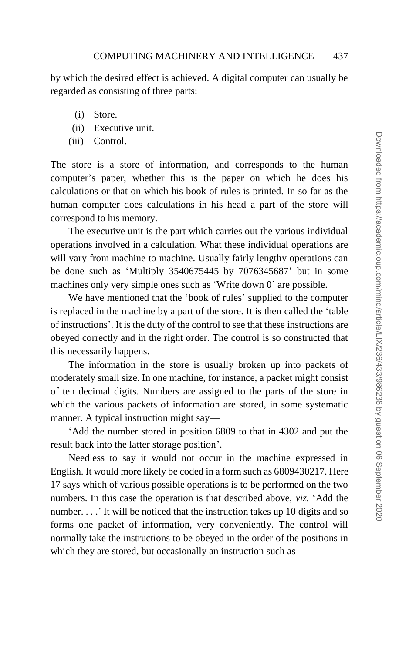by which the desired effect is achieved. A digital computer can usually be regarded as consisting of three parts:

- (i) Store.
- (ii) Executive unit.
- (iii) Control.

The store is a store of information, and corresponds to the human computer's paper, whether this is the paper on which he does his calculations or that on which his book of rules is printed. In so far as the human computer does calculations in his head a part of the store will correspond to his memory.

The executive unit is the part which carries out the various individual operations involved in a calculation. What these individual operations are will vary from machine to machine. Usually fairly lengthy operations can be done such as 'Multiply 3540675445 by 7076345687' but in some machines only very simple ones such as 'Write down 0' are possible.

We have mentioned that the 'book of rules' supplied to the computer is replaced in the machine by a part of the store. It is then called the 'table of instructions'. It is the duty of the control to see that these instructions are obeyed correctly and in the right order. The control is so constructed that this necessarily happens.

The information in the store is usually broken up into packets of moderately small size. In one machine, for instance, a packet might consist of ten decimal digits. Numbers are assigned to the parts of the store in which the various packets of information are stored, in some systematic manner. A typical instruction might say—

'Add the number stored in position 6809 to that in 4302 and put the result back into the latter storage position'.

Needless to say it would not occur in the machine expressed in English. It would more likely be coded in a form such as 6809430217. Here 17 says which of various possible operations is to be performed on the two numbers. In this case the operation is that described above, *viz.* 'Add the number....' It will be noticed that the instruction takes up 10 digits and so forms one packet of information, very conveniently. The control will normally take the instructions to be obeyed in the order of the positions in which they are stored, but occasionally an instruction such as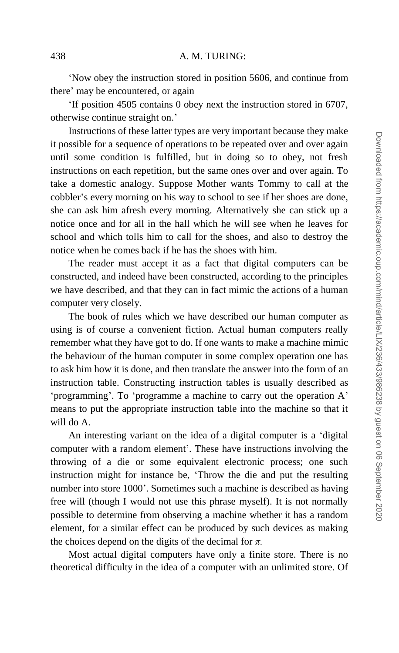'Now obey the instruction stored in position 5606, and continue from there' may be encountered, or again

'If position 4505 contains 0 obey next the instruction stored in 6707, otherwise continue straight on.'

Instructions of these latter types are very important because they make it possible for a sequence of operations to be repeated over and over again until some condition is fulfilled, but in doing so to obey, not fresh instructions on each repetition, but the same ones over and over again. To take a domestic analogy. Suppose Mother wants Tommy to call at the cobbler's every morning on his way to school to see if her shoes are done, she can ask him afresh every morning. Alternatively she can stick up a notice once and for all in the hall which he will see when he leaves for school and which tolls him to call for the shoes, and also to destroy the notice when he comes back if he has the shoes with him.

The reader must accept it as a fact that digital computers can be constructed, and indeed have been constructed, according to the principles we have described, and that they can in fact mimic the actions of a human computer very closely.

The book of rules which we have described our human computer as using is of course a convenient fiction. Actual human computers really remember what they have got to do. If one wants to make a machine mimic the behaviour of the human computer in some complex operation one has to ask him how it is done, and then translate the answer into the form of an instruction table. Constructing instruction tables is usually described as 'programming'. To 'programme a machine to carry out the operation A' means to put the appropriate instruction table into the machine so that it will do A.

An interesting variant on the idea of a digital computer is a 'digital computer with a random element'. These have instructions involving the throwing of a die or some equivalent electronic process; one such instruction might for instance be, 'Throw the die and put the resulting number into store 1000'. Sometimes such a machine is described as having free will (though I would not use this phrase myself). It is not normally possible to determine from observing a machine whether it has a random element, for a similar effect can be produced by such devices as making the choices depend on the digits of the decimal for *π.*

Most actual digital computers have only a finite store. There is no theoretical difficulty in the idea of a computer with an unlimited store. Of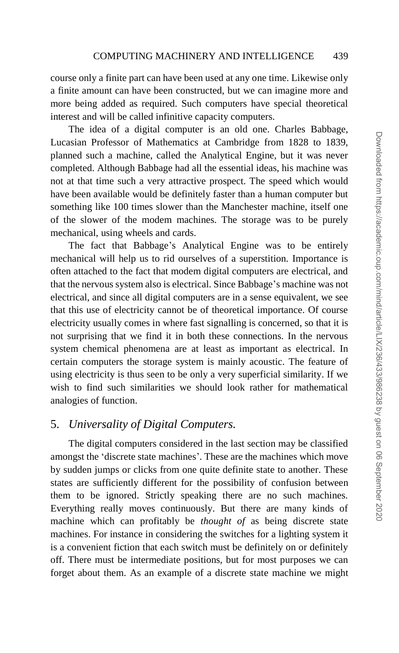course only a finite part can have been used at any one time. Likewise only a finite amount can have been constructed, but we can imagine more and more being added as required. Such computers have special theoretical interest and will be called infinitive capacity computers.

The idea of a digital computer is an old one. Charles Babbage, Lucasian Professor of Mathematics at Cambridge from 1828 to 1839, planned such a machine, called the Analytical Engine, but it was never completed. Although Babbage had all the essential ideas, his machine was not at that time such a very attractive prospect. The speed which would have been available would be definitely faster than a human computer but something like 100 times slower than the Manchester machine, itself one of the slower of the modem machines. The storage was to be purely mechanical, using wheels and cards.

The fact that Babbage's Analytical Engine was to be entirely mechanical will help us to rid ourselves of a superstition. Importance is often attached to the fact that modem digital computers are electrical, and that the nervous system also is electrical. Since Babbage's machine was not electrical, and since all digital computers are in a sense equivalent, we see that this use of electricity cannot be of theoretical importance. Of course electricity usually comes in where fast signalling is concerned, so that it is not surprising that we find it in both these connections. In the nervous system chemical phenomena are at least as important as electrical. In certain computers the storage system is mainly acoustic. The feature of using electricity is thus seen to be only a very superficial similarity. If we wish to find such similarities we should look rather for mathematical analogies of function.

### 5. *Universality of Digital Computers.*

The digital computers considered in the last section may be classified amongst the 'discrete state machines'. These are the machines which move by sudden jumps or clicks from one quite definite state to another. These states are sufficiently different for the possibility of confusion between them to be ignored. Strictly speaking there are no such machines. Everything really moves continuously. But there are many kinds of machine which can profitably be *thought of* as being discrete state machines. For instance in considering the switches for a lighting system it is a convenient fiction that each switch must be definitely on or definitely off. There must be intermediate positions, but for most purposes we can forget about them. As an example of a discrete state machine we might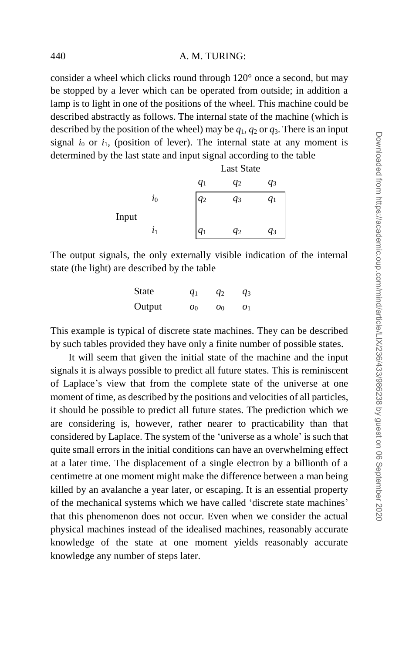consider a wheel which clicks round through 120° once a second, but may be stopped by a lever which can be operated from outside; in addition a lamp is to light in one of the positions of the wheel. This machine could be described abstractly as follows. The internal state of the machine (which is described by the position of the wheel) may be  $q_1$ ,  $q_2$  or  $q_3$ . There is an input signal  $i_0$  or  $i_1$ , (position of lever). The internal state at any moment is determined by the last state and input signal according to the table

|       |           |       | <b>Last State</b> |       |  |
|-------|-----------|-------|-------------------|-------|--|
|       |           | $q_1$ | $q_2$             | $q_3$ |  |
| Input | $i_0$     | $q_2$ | $q_3$             | $q_1$ |  |
|       | $\iota_1$ | $q_1$ | $q_2$             | $q_3$ |  |

The output signals, the only externally visible indication of the internal state (the light) are described by the table

| <b>State</b> | $q_1$       | $q_2$ | $q_3$ |
|--------------|-------------|-------|-------|
| Output       | $\varrho_0$ | O0    | 01    |

This example is typical of discrete state machines. They can be described by such tables provided they have only a finite number of possible states.

It will seem that given the initial state of the machine and the input signals it is always possible to predict all future states. This is reminiscent of Laplace's view that from the complete state of the universe at one moment of time, as described by the positions and velocities of all particles, it should be possible to predict all future states. The prediction which we are considering is, however, rather nearer to practicability than that considered by Laplace. The system of the 'universe as a whole' is such that quite small errors in the initial conditions can have an overwhelming effect at a later time. The displacement of a single electron by a billionth of a centimetre at one moment might make the difference between a man being killed by an avalanche a year later, or escaping. It is an essential property of the mechanical systems which we have called 'discrete state machines' that this phenomenon does not occur. Even when we consider the actual physical machines instead of the idealised machines, reasonably accurate knowledge of the state at one moment yields reasonably accurate knowledge any number of steps later.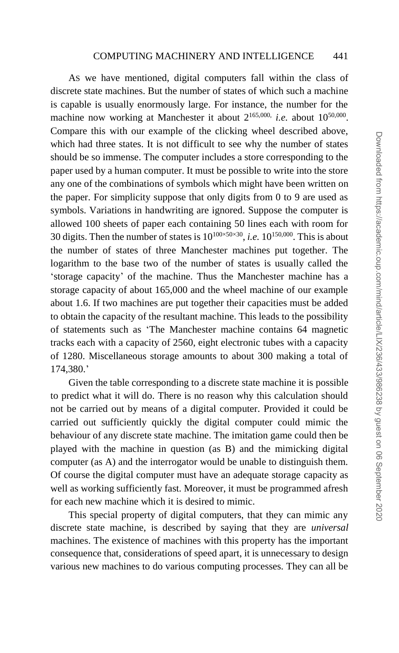AS we have mentioned, digital computers fall within the class of discrete state machines. But the number of states of which such a machine is capable is usually enormously large. For instance, the number for the machine now working at Manchester it about  $2^{165,000}$ , *i.e.* about  $10^{50,000}$ . Compare this with our example of the clicking wheel described above, which had three states. It is not difficult to see why the number of states should be so immense. The computer includes a store corresponding to the paper used by a human computer. It must be possible to write into the store any one of the combinations of symbols which might have been written on the paper. For simplicity suppose that only digits from 0 to 9 are used as symbols. Variations in handwriting are ignored. Suppose the computer is allowed 100 sheets of paper each containing 50 lines each with room for 30 digits. Then the number of states is  $10^{100\times50\times30}$ , *i.e.*  $10^{150,000}$ . This is about the number of states of three Manchester machines put together. The logarithm to the base two of the number of states is usually called the 'storage capacity' of the machine. Thus the Manchester machine has a storage capacity of about 165,000 and the wheel machine of our example about 1.6. If two machines are put together their capacities must be added to obtain the capacity of the resultant machine. This leads to the possibility of statements such as 'The Manchester machine contains 64 magnetic tracks each with a capacity of 2560, eight electronic tubes with a capacity of 1280. Miscellaneous storage amounts to about 300 making a total of 174,380.'

Given the table corresponding to a discrete state machine it is possible to predict what it will do. There is no reason why this calculation should not be carried out by means of a digital computer. Provided it could be carried out sufficiently quickly the digital computer could mimic the behaviour of any discrete state machine. The imitation game could then be played with the machine in question (as B) and the mimicking digital computer (as A) and the interrogator would be unable to distinguish them. Of course the digital computer must have an adequate storage capacity as well as working sufficiently fast. Moreover, it must be programmed afresh for each new machine which it is desired to mimic.

This special property of digital computers, that they can mimic any discrete state machine, is described by saying that they are *universal* machines. The existence of machines with this property has the important consequence that, considerations of speed apart, it is unnecessary to design various new machines to do various computing processes. They can all be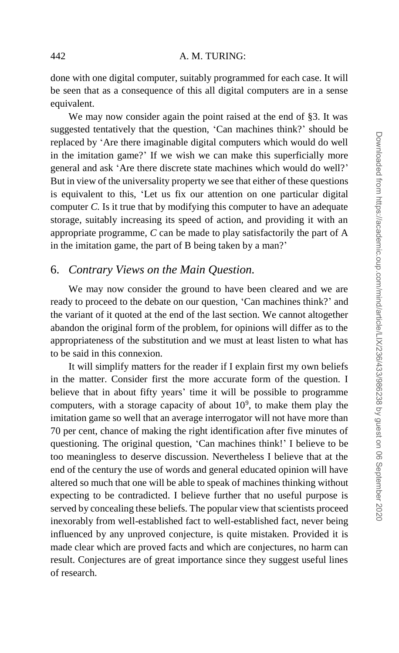# Downloaded from https://academic.oup.com/mind/article/LIX/236/433/986238 by guest on 06 September 2020 Downloaded from https://academic.oup.com/mind/article/LIX/236/433/986238 by guest on 06 September 2020

### 442 A. M. TURING:

done with one digital computer, suitably programmed for each case. It will be seen that as a consequence of this all digital computers are in a sense equivalent.

We may now consider again the point raised at the end of §3. It was suggested tentatively that the question, 'Can machines think?' should be replaced by 'Are there imaginable digital computers which would do well in the imitation game?' If we wish we can make this superficially more general and ask 'Are there discrete state machines which would do well?' But in view of the universality property we see that either of these questions is equivalent to this, 'Let us fix our attention on one particular digital computer *C.* Is it true that by modifying this computer to have an adequate storage, suitably increasing its speed of action, and providing it with an appropriate programme, *C* can be made to play satisfactorily the part of A in the imitation game, the part of B being taken by a man?'

### 6. *Contrary Views on the Main Question.*

We may now consider the ground to have been cleared and we are ready to proceed to the debate on our question, 'Can machines think?' and the variant of it quoted at the end of the last section. We cannot altogether abandon the original form of the problem, for opinions will differ as to the appropriateness of the substitution and we must at least listen to what has to be said in this connexion.

It will simplify matters for the reader if I explain first my own beliefs in the matter. Consider first the more accurate form of the question. I believe that in about fifty years' time it will be possible to programme computers, with a storage capacity of about  $10<sup>9</sup>$ , to make them play the imitation game so well that an average interrogator will not have more than 70 per cent, chance of making the right identification after five minutes of questioning. The original question, 'Can machines think!' I believe to be too meaningless to deserve discussion. Nevertheless I believe that at the end of the century the use of words and general educated opinion will have altered so much that one will be able to speak of machines thinking without expecting to be contradicted. I believe further that no useful purpose is served by concealing these beliefs. The popular view that scientists proceed inexorably from well-established fact to well-established fact, never being influenced by any unproved conjecture, is quite mistaken. Provided it is made clear which are proved facts and which are conjectures, no harm can result. Conjectures are of great importance since they suggest useful lines of research.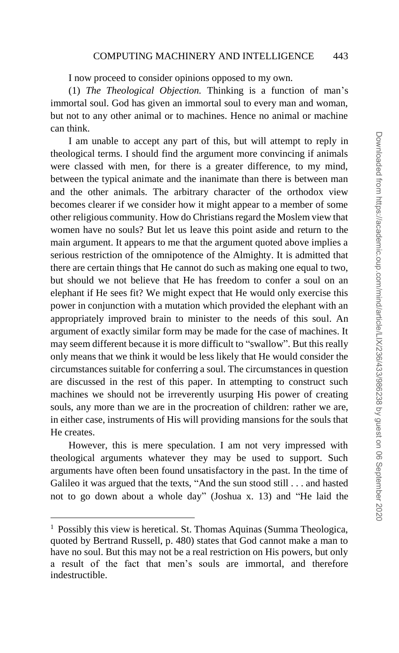I now proceed to consider opinions opposed to my own.

(1) *The Theological Objection.* Thinking is a function of man's immortal soul. God has given an immortal soul to every man and woman, but not to any other animal or to machines. Hence no animal or machine can think.

I am unable to accept any part of this, but will attempt to reply in theological terms. I should find the argument more convincing if animals were classed with men, for there is a greater difference, to my mind, between the typical animate and the inanimate than there is between man and the other animals. The arbitrary character of the orthodox view becomes clearer if we consider how it might appear to a member of some other religious community. How do Christians regard the Moslem view that women have no souls? But let us leave this point aside and return to the main argument. It appears to me that the argument quoted above implies a serious restriction of the omnipotence of the Almighty. It is admitted that there are certain things that He cannot do such as making one equal to two, but should we not believe that He has freedom to confer a soul on an elephant if He sees fit? We might expect that He would only exercise this power in conjunction with a mutation which provided the elephant with an appropriately improved brain to minister to the needs of this soul. An argument of exactly similar form may be made for the case of machines. It may seem different because it is more difficult to "swallow". But this really only means that we think it would be less likely that He would consider the circumstances suitable for conferring a soul. The circumstances in question are discussed in the rest of this paper. In attempting to construct such machines we should not be irreverently usurping His power of creating souls, any more than we are in the procreation of children: rather we are, in either case, instruments of His will providing mansions for the souls that He creates.

However, this is mere speculation. I am not very impressed with theological arguments whatever they may be used to support. Such arguments have often been found unsatisfactory in the past. In the time of Galileo it was argued that the texts, "And the sun stood still . . . and hasted not to go down about a whole day" (Joshua x. 13) and "He laid the

l

<sup>&</sup>lt;sup>1</sup> Possibly this view is heretical. St. Thomas Aquinas (Summa Theologica, quoted by Bertrand Russell, p. 480) states that God cannot make a man to have no soul. But this may not be a real restriction on His powers, but only a result of the fact that men's souls are immortal, and therefore indestructible.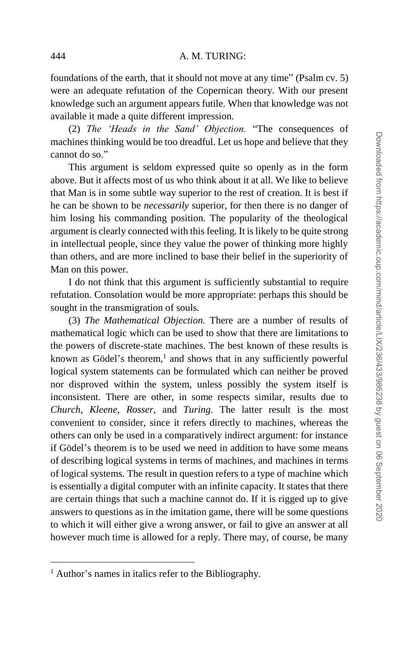foundations of the earth, that it should not move at any time" (Psalm cv. 5) were an adequate refutation of the Copernican theory. With our present knowledge such an argument appears futile. When that knowledge was not available it made a quite different impression.

(2) *The 'Heads in the Sand' Objection.* "The consequences of machines thinking would be too dreadful. Let us hope and believe that they cannot do so."

This argument is seldom expressed quite so openly as in the form above. But it affects most of us who think about it at all. We like to believe that Man is in some subtle way superior to the rest of creation. It is best if he can be shown to be *necessarily* superior, for then there is no danger of him losing his commanding position. The popularity of the theological argument is clearly connected with this feeling. It is likely to be quite strong in intellectual people, since they value the power of thinking more highly than others, and are more inclined to base their belief in the superiority of Man on this power.

I do not think that this argument is sufficiently substantial to require refutation. Consolation would be more appropriate: perhaps this should be sought in the transmigration of souls.

(3) *The Mathematical Objection.* There are a number of results of mathematical logic which can be used to show that there are limitations to the powers of discrete-state machines. The best known of these results is known as Gödel's theorem,<sup>1</sup> and shows that in any sufficiently powerful logical system statements can be formulated which can neither be proved nor disproved within the system, unless possibly the system itself is inconsistent. There are other, in some respects similar, results due to *Church, Kleene, Rosser,* and *Turing.* The latter result is the most convenient to consider, since it refers directly to machines, whereas the others can only be used in a comparatively indirect argument: for instance if Gödel's theorem is to be used we need in addition to have some means of describing logical systems in terms of machines, and machines in terms of logical systems. The result in question refers to a type of machine which is essentially a digital computer with an infinite capacity. It states that there are certain things that such a machine cannot do. If it is rigged up to give answers to questions as in the imitation game, there will be some questions to which it will either give a wrong answer, or fail to give an answer at all however much time is allowed for a reply. There may, of course, be many

l

<sup>&</sup>lt;sup>1</sup> Author's names in italics refer to the Bibliography.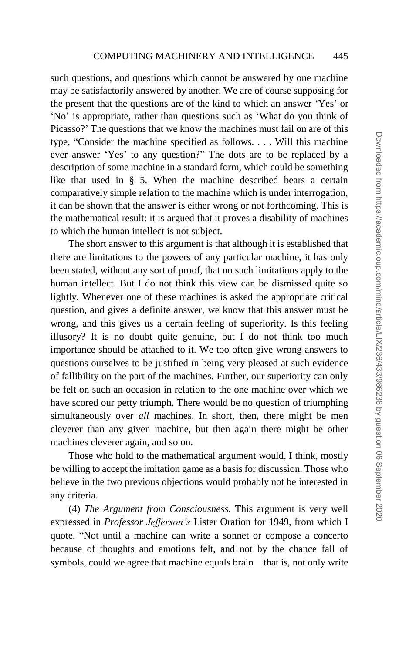such questions, and questions which cannot be answered by one machine may be satisfactorily answered by another. We are of course supposing for the present that the questions are of the kind to which an answer 'Yes' or 'No' is appropriate, rather than questions such as 'What do you think of Picasso?' The questions that we know the machines must fail on are of this type, "Consider the machine specified as follows. . . . Will this machine ever answer 'Yes' to any question?" The dots are to be replaced by a description of some machine in a standard form, which could be something like that used in § 5. When the machine described bears a certain comparatively simple relation to the machine which is under interrogation, it can be shown that the answer is either wrong or not forthcoming. This is the mathematical result: it is argued that it proves a disability of machines to which the human intellect is not subject.

The short answer to this argument is that although it is established that there are limitations to the powers of any particular machine, it has only been stated, without any sort of proof, that no such limitations apply to the human intellect. But I do not think this view can be dismissed quite so lightly. Whenever one of these machines is asked the appropriate critical question, and gives a definite answer, we know that this answer must be wrong, and this gives us a certain feeling of superiority. Is this feeling illusory? It is no doubt quite genuine, but I do not think too much importance should be attached to it. We too often give wrong answers to questions ourselves to be justified in being very pleased at such evidence of fallibility on the part of the machines. Further, our superiority can only be felt on such an occasion in relation to the one machine over which we have scored our petty triumph. There would be no question of triumphing simultaneously over *all* machines. In short, then, there might be men cleverer than any given machine, but then again there might be other machines cleverer again, and so on.

Those who hold to the mathematical argument would, I think, mostly be willing to accept the imitation game as a basis for discussion. Those who believe in the two previous objections would probably not be interested in any criteria.

(4) *The Argument from Consciousness.* This argument is very well expressed in *Professor Jefferson's* Lister Oration for 1949, from which I quote. "Not until a machine can write a sonnet or compose a concerto because of thoughts and emotions felt, and not by the chance fall of symbols, could we agree that machine equals brain—that is, not only write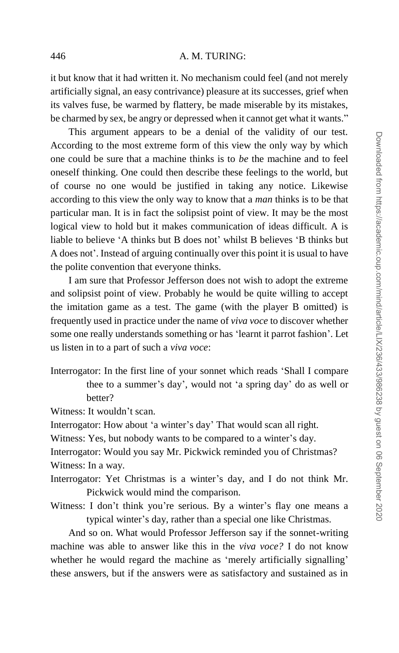it but know that it had written it. No mechanism could feel (and not merely artificially signal, an easy contrivance) pleasure at its successes, grief when its valves fuse, be warmed by flattery, be made miserable by its mistakes, be charmed by sex, be angry or depressed when it cannot get what it wants."

This argument appears to be a denial of the validity of our test. According to the most extreme form of this view the only way by which one could be sure that a machine thinks is to *be* the machine and to feel oneself thinking. One could then describe these feelings to the world, but of course no one would be justified in taking any notice. Likewise according to this view the only way to know that a *man* thinks is to be that particular man. It is in fact the solipsist point of view. It may be the most logical view to hold but it makes communication of ideas difficult. A is liable to believe 'A thinks but B does not' whilst B believes 'B thinks but A does not'. Instead of arguing continually over this point it is usual to have the polite convention that everyone thinks.

I am sure that Professor Jefferson does not wish to adopt the extreme and solipsist point of view. Probably he would be quite willing to accept the imitation game as a test. The game (with the player B omitted) is frequently used in practice under the name of *viva voce* to discover whether some one really understands something or has 'learnt it parrot fashion'. Let us listen in to a part of such a *viva voce*:

Interrogator: In the first line of your sonnet which reads 'Shall I compare thee to a summer's day', would not 'a spring day' do as well or better?

Witness: It wouldn't scan.

Interrogator: How about 'a winter's day' That would scan all right.

Witness: Yes, but nobody wants to be compared to a winter's day.

Interrogator: Would you say Mr. Pickwick reminded you of Christmas? Witness: In a way.

- Interrogator: Yet Christmas is a winter's day, and I do not think Mr. Pickwick would mind the comparison.
- Witness: I don't think you're serious. By a winter's flay one means a typical winter's day, rather than a special one like Christmas.

And so on. What would Professor Jefferson say if the sonnet-writing machine was able to answer like this in the *viva voce?* I do not know whether he would regard the machine as 'merely artificially signalling' these answers, but if the answers were as satisfactory and sustained as in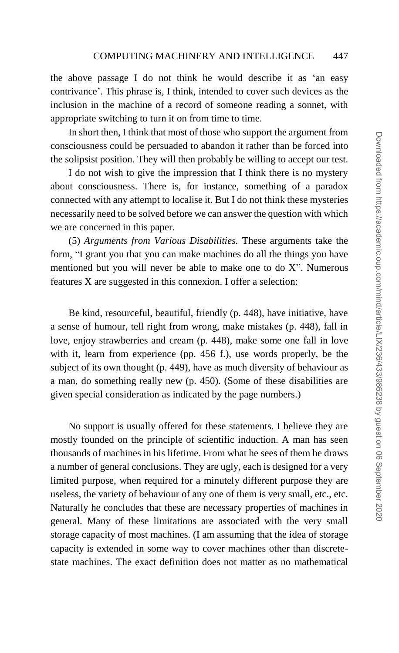the above passage I do not think he would describe it as 'an easy contrivance'. This phrase is, I think, intended to cover such devices as the inclusion in the machine of a record of someone reading a sonnet, with appropriate switching to turn it on from time to time.

In short then, I think that most of those who support the argument from consciousness could be persuaded to abandon it rather than be forced into the solipsist position. They will then probably be willing to accept our test.

I do not wish to give the impression that I think there is no mystery about consciousness. There is, for instance, something of a paradox connected with any attempt to localise it. But I do not think these mysteries necessarily need to be solved before we can answer the question with which we are concerned in this paper.

(5) *Arguments from Various Disabilities.* These arguments take the form, "I grant you that you can make machines do all the things you have mentioned but you will never be able to make one to do X". Numerous features X are suggested in this connexion. I offer a selection:

Be kind, resourceful, beautiful, friendly (p. 448), have initiative, have a sense of humour, tell right from wrong, make mistakes (p. 448), fall in love, enjoy strawberries and cream (p. 448), make some one fall in love with it, learn from experience (pp. 456 f.), use words properly, be the subject of its own thought (p. 449), have as much diversity of behaviour as a man, do something really new (p. 450). (Some of these disabilities are given special consideration as indicated by the page numbers.)

No support is usually offered for these statements. I believe they are mostly founded on the principle of scientific induction. A man has seen thousands of machines in his lifetime. From what he sees of them he draws a number of general conclusions. They are ugly, each is designed for a very limited purpose, when required for a minutely different purpose they are useless, the variety of behaviour of any one of them is very small, etc., etc. Naturally he concludes that these are necessary properties of machines in general. Many of these limitations are associated with the very small storage capacity of most machines. (I am assuming that the idea of storage capacity is extended in some way to cover machines other than discretestate machines. The exact definition does not matter as no mathematical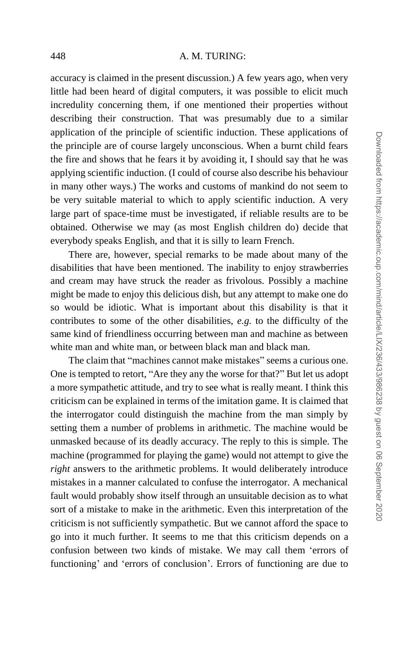accuracy is claimed in the present discussion.) A few years ago, when very little had been heard of digital computers, it was possible to elicit much incredulity concerning them, if one mentioned their properties without describing their construction. That was presumably due to a similar application of the principle of scientific induction. These applications of the principle are of course largely unconscious. When a burnt child fears the fire and shows that he fears it by avoiding it, I should say that he was applying scientific induction. (I could of course also describe his behaviour in many other ways.) The works and customs of mankind do not seem to be very suitable material to which to apply scientific induction. A very large part of space-time must be investigated, if reliable results are to be obtained. Otherwise we may (as most English children do) decide that everybody speaks English, and that it is silly to learn French.

There are, however, special remarks to be made about many of the disabilities that have been mentioned. The inability to enjoy strawberries and cream may have struck the reader as frivolous. Possibly a machine might be made to enjoy this delicious dish, but any attempt to make one do so would be idiotic. What is important about this disability is that it contributes to some of the other disabilities, *e.g.* to the difficulty of the same kind of friendliness occurring between man and machine as between white man and white man, or between black man and black man.

The claim that "machines cannot make mistakes" seems a curious one. One is tempted to retort, "Are they any the worse for that?" But let us adopt a more sympathetic attitude, and try to see what is really meant. I think this criticism can be explained in terms of the imitation game. It is claimed that the interrogator could distinguish the machine from the man simply by setting them a number of problems in arithmetic. The machine would be unmasked because of its deadly accuracy. The reply to this is simple. The machine (programmed for playing the game) would not attempt to give the *right* answers to the arithmetic problems. It would deliberately introduce mistakes in a manner calculated to confuse the interrogator. A mechanical fault would probably show itself through an unsuitable decision as to what sort of a mistake to make in the arithmetic. Even this interpretation of the criticism is not sufficiently sympathetic. But we cannot afford the space to go into it much further. It seems to me that this criticism depends on a confusion between two kinds of mistake. We may call them 'errors of functioning' and 'errors of conclusion'. Errors of functioning are due to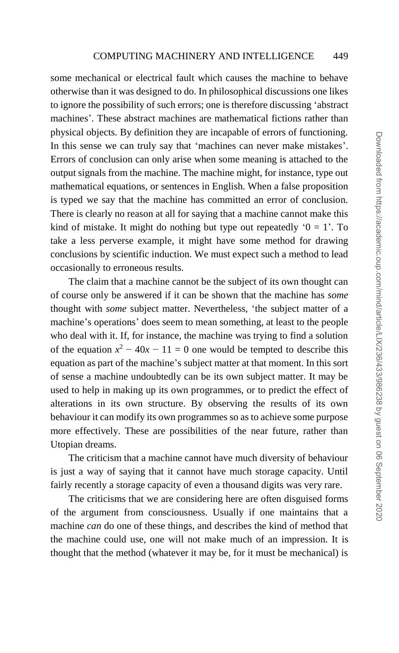some mechanical or electrical fault which causes the machine to behave otherwise than it was designed to do. In philosophical discussions one likes to ignore the possibility of such errors; one is therefore discussing 'abstract machines'. These abstract machines are mathematical fictions rather than physical objects. By definition they are incapable of errors of functioning. In this sense we can truly say that 'machines can never make mistakes'. Errors of conclusion can only arise when some meaning is attached to the output signals from the machine. The machine might, for instance, type out mathematical equations, or sentences in English. When a false proposition is typed we say that the machine has committed an error of conclusion. There is clearly no reason at all for saying that a machine cannot make this kind of mistake. It might do nothing but type out repeatedly ' $0 = 1$ '. To take a less perverse example, it might have some method for drawing conclusions by scientific induction. We must expect such a method to lead occasionally to erroneous results.

The claim that a machine cannot be the subject of its own thought can of course only be answered if it can be shown that the machine has *some* thought with *some* subject matter. Nevertheless, 'the subject matter of a machine's operations' does seem to mean something, at least to the people who deal with it. If, for instance, the machine was trying to find a solution of the equation  $x^2 - 40x - 11 = 0$  one would be tempted to describe this equation as part of the machine's subject matter at that moment. In this sort of sense a machine undoubtedly can be its own subject matter. It may be used to help in making up its own programmes, or to predict the effect of alterations in its own structure. By observing the results of its own behaviour it can modify its own programmes so as to achieve some purpose more effectively. These are possibilities of the near future, rather than Utopian dreams.

The criticism that a machine cannot have much diversity of behaviour is just a way of saying that it cannot have much storage capacity. Until fairly recently a storage capacity of even a thousand digits was very rare.

The criticisms that we are considering here are often disguised forms of the argument from consciousness. Usually if one maintains that a machine *can* do one of these things, and describes the kind of method that the machine could use, one will not make much of an impression. It is thought that the method (whatever it may be, for it must be mechanical) is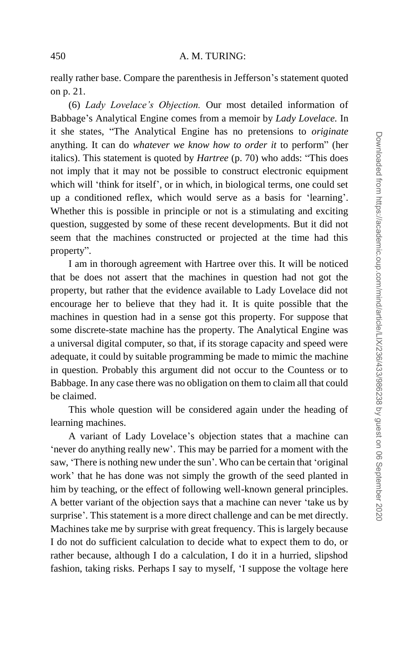really rather base. Compare the parenthesis in Jefferson's statement quoted on p. 21.

(6) *Lady Lovelace's Objection.* Our most detailed information of Babbage's Analytical Engine comes from a memoir by *Lady Lovelace.* In it she states, "The Analytical Engine has no pretensions to *originate* anything. It can do *whatever we know how to order it* to perform" (her italics). This statement is quoted by *Hartree* (p. 70) who adds: "This does not imply that it may not be possible to construct electronic equipment which will 'think for itself', or in which, in biological terms, one could set up a conditioned reflex, which would serve as a basis for 'learning'. Whether this is possible in principle or not is a stimulating and exciting question, suggested by some of these recent developments. But it did not seem that the machines constructed or projected at the time had this property".

I am in thorough agreement with Hartree over this. It will be noticed that be does not assert that the machines in question had not got the property, but rather that the evidence available to Lady Lovelace did not encourage her to believe that they had it. It is quite possible that the machines in question had in a sense got this property. For suppose that some discrete-state machine has the property. The Analytical Engine was a universal digital computer, so that, if its storage capacity and speed were adequate, it could by suitable programming be made to mimic the machine in question. Probably this argument did not occur to the Countess or to Babbage. In any case there was no obligation on them to claim all that could be claimed.

This whole question will be considered again under the heading of learning machines.

A variant of Lady Lovelace's objection states that a machine can 'never do anything really new'. This may be parried for a moment with the saw, 'There is nothing new under the sun'. Who can be certain that 'original work' that he has done was not simply the growth of the seed planted in him by teaching, or the effect of following well-known general principles. A better variant of the objection says that a machine can never 'take us by surprise'. This statement is a more direct challenge and can be met directly. Machines take me by surprise with great frequency. This is largely because I do not do sufficient calculation to decide what to expect them to do, or rather because, although I do a calculation, I do it in a hurried, slipshod fashion, taking risks. Perhaps I say to myself, 'I suppose the voltage here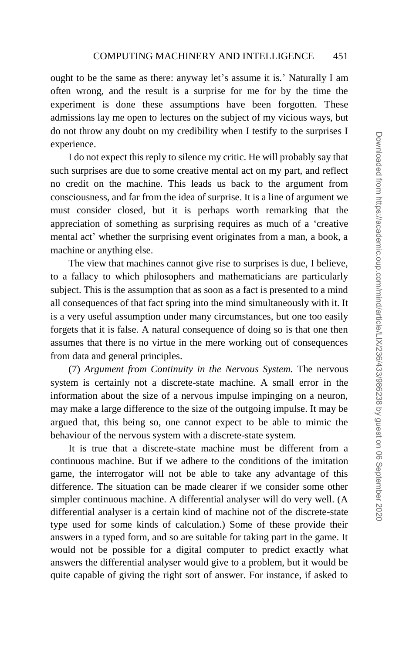ought to be the same as there: anyway let's assume it is*.*' Naturally I am often wrong, and the result is a surprise for me for by the time the experiment is done these assumptions have been forgotten. These admissions lay me open to lectures on the subject of my vicious ways, but do not throw any doubt on my credibility when I testify to the surprises I experience.

I do not expect this reply to silence my critic. He will probably say that such surprises are due to some creative mental act on my part, and reflect no credit on the machine. This leads us back to the argument from consciousness, and far from the idea of surprise. It is a line of argument we must consider closed, but it is perhaps worth remarking that the appreciation of something as surprising requires as much of a 'creative mental act' whether the surprising event originates from a man, a book, a machine or anything else.

The view that machines cannot give rise to surprises is due, I believe, to a fallacy to which philosophers and mathematicians are particularly subject. This is the assumption that as soon as a fact is presented to a mind all consequences of that fact spring into the mind simultaneously with it. It is a very useful assumption under many circumstances, but one too easily forgets that it is false. A natural consequence of doing so is that one then assumes that there is no virtue in the mere working out of consequences from data and general principles.

(7) *Argument from Continuity in the Nervous System.* The nervous system is certainly not a discrete-state machine. A small error in the information about the size of a nervous impulse impinging on a neuron, may make a large difference to the size of the outgoing impulse. It may be argued that, this being so, one cannot expect to be able to mimic the behaviour of the nervous system with a discrete-state system.

It is true that a discrete-state machine must be different from a continuous machine. But if we adhere to the conditions of the imitation game, the interrogator will not be able to take any advantage of this difference. The situation can be made clearer if we consider some other simpler continuous machine. A differential analyser will do very well. (A differential analyser is a certain kind of machine not of the discrete-state type used for some kinds of calculation.) Some of these provide their answers in a typed form, and so are suitable for taking part in the game. It would not be possible for a digital computer to predict exactly what answers the differential analyser would give to a problem, but it would be quite capable of giving the right sort of answer. For instance, if asked to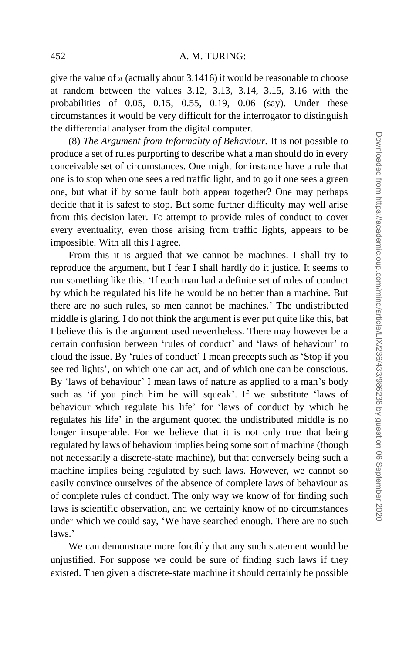give the value of  $\pi$  (actually about 3.1416) it would be reasonable to choose at random between the values 3.12, 3.13, 3.14, 3.15, 3.16 with the probabilities of 0.05, 0.15, 0.55, 0.19, 0.06 (say). Under these circumstances it would be very difficult for the interrogator to distinguish the differential analyser from the digital computer.

(8) *The Argument from Informality of Behaviour.* It is not possible to produce a set of rules purporting to describe what a man should do in every conceivable set of circumstances. One might for instance have a rule that one is to stop when one sees a red traffic light, and to go if one sees a green one, but what if by some fault both appear together? One may perhaps decide that it is safest to stop. But some further difficulty may well arise from this decision later. To attempt to provide rules of conduct to cover every eventuality, even those arising from traffic lights, appears to be impossible. With all this I agree.

From this it is argued that we cannot be machines. I shall try to reproduce the argument, but I fear I shall hardly do it justice. It seems to run something like this. 'If each man had a definite set of rules of conduct by which be regulated his life he would be no better than a machine. But there are no such rules, so men cannot be machines.' The undistributed middle is glaring. I do not think the argument is ever put quite like this, bat I believe this is the argument used nevertheless. There may however be a certain confusion between 'rules of conduct' and 'laws of behaviour' to cloud the issue. By 'rules of conduct' I mean precepts such as 'Stop if you see red lights', on which one can act, and of which one can be conscious. By 'laws of behaviour' I mean laws of nature as applied to a man's body such as 'if you pinch him he will squeak'. If we substitute 'laws of behaviour which regulate his life' for 'laws of conduct by which he regulates his life' in the argument quoted the undistributed middle is no longer insuperable. For we believe that it is not only true that being regulated by laws of behaviour implies being some sort of machine (though not necessarily a discrete-state machine), but that conversely being such a machine implies being regulated by such laws. However, we cannot so easily convince ourselves of the absence of complete laws of behaviour as of complete rules of conduct. The only way we know of for finding such laws is scientific observation, and we certainly know of no circumstances under which we could say, 'We have searched enough. There are no such laws.'

We can demonstrate more forcibly that any such statement would be unjustified. For suppose we could be sure of finding such laws if they existed. Then given a discrete-state machine it should certainly be possible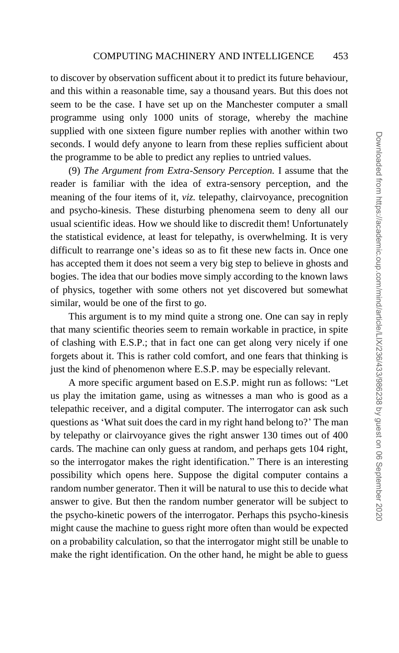to discover by observation sufficent about it to predict its future behaviour, and this within a reasonable time, say a thousand years. But this does not seem to be the case. I have set up on the Manchester computer a small programme using only 1000 units of storage, whereby the machine supplied with one sixteen figure number replies with another within two seconds. I would defy anyone to learn from these replies sufficient about the programme to be able to predict any replies to untried values.

(9) *The Argument from Extra-Sensory Perception.* I assume that the reader is familiar with the idea of extra-sensory perception, and the meaning of the four items of it, *viz.* telepathy, clairvoyance, precognition and psycho-kinesis. These disturbing phenomena seem to deny all our usual scientific ideas. How we should like to discredit them! Unfortunately the statistical evidence, at least for telepathy, is overwhelming. It is very difficult to rearrange one's ideas so as to fit these new facts in. Once one has accepted them it does not seem a very big step to believe in ghosts and bogies. The idea that our bodies move simply according to the known laws of physics, together with some others not yet discovered but somewhat similar, would be one of the first to go.

This argument is to my mind quite a strong one. One can say in reply that many scientific theories seem to remain workable in practice, in spite of clashing with E.S.P.; that in fact one can get along very nicely if one forgets about it. This is rather cold comfort, and one fears that thinking is just the kind of phenomenon where E.S.P. may be especially relevant.

A more specific argument based on E.S.P. might run as follows: "Let us play the imitation game, using as witnesses a man who is good as a telepathic receiver, and a digital computer. The interrogator can ask such questions as 'What suit does the card in my right hand belong to?' The man by telepathy or clairvoyance gives the right answer 130 times out of 400 cards. The machine can only guess at random, and perhaps gets 104 right, so the interrogator makes the right identification." There is an interesting possibility which opens here. Suppose the digital computer contains a random number generator. Then it will be natural to use this to decide what answer to give. But then the random number generator will be subject to the psycho-kinetic powers of the interrogator. Perhaps this psycho-kinesis might cause the machine to guess right more often than would be expected on a probability calculation, so that the interrogator might still be unable to make the right identification. On the other hand, he might be able to guess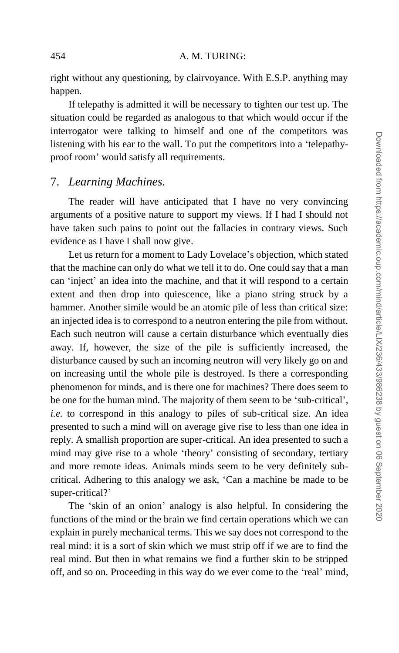right without any questioning, by clairvoyance. With E.S.P. anything may happen.

If telepathy is admitted it will be necessary to tighten our test up. The situation could be regarded as analogous to that which would occur if the interrogator were talking to himself and one of the competitors was listening with his ear to the wall. To put the competitors into a 'telepathyproof room' would satisfy all requirements.

### 7. *Learning Machines.*

The reader will have anticipated that I have no very convincing arguments of a positive nature to support my views. If I had I should not have taken such pains to point out the fallacies in contrary views. Such evidence as I have I shall now give.

Let us return for a moment to Lady Lovelace's objection, which stated that the machine can only do what we tell it to do. One could say that a man can 'inject' an idea into the machine, and that it will respond to a certain extent and then drop into quiescence, like a piano string struck by a hammer. Another simile would be an atomic pile of less than critical size: an injected idea is to correspond to a neutron entering the pile from without. Each such neutron will cause a certain disturbance which eventually dies away. If, however, the size of the pile is sufficiently increased, the disturbance caused by such an incoming neutron will very likely go on and on increasing until the whole pile is destroyed. Is there a corresponding phenomenon for minds, and is there one for machines? There does seem to be one for the human mind. The majority of them seem to be 'sub-critical', *i.e.* to correspond in this analogy to piles of sub-critical size. An idea presented to such a mind will on average give rise to less than one idea in reply. A smallish proportion are super-critical. An idea presented to such a mind may give rise to a whole 'theory' consisting of secondary, tertiary and more remote ideas. Animals minds seem to be very definitely subcritical. Adhering to this analogy we ask, 'Can a machine be made to be super-critical?'

The 'skin of an onion' analogy is also helpful. In considering the functions of the mind or the brain we find certain operations which we can explain in purely mechanical terms. This we say does not correspond to the real mind: it is a sort of skin which we must strip off if we are to find the real mind. But then in what remains we find a further skin to be stripped off, and so on. Proceeding in this way do we ever come to the 'real' mind,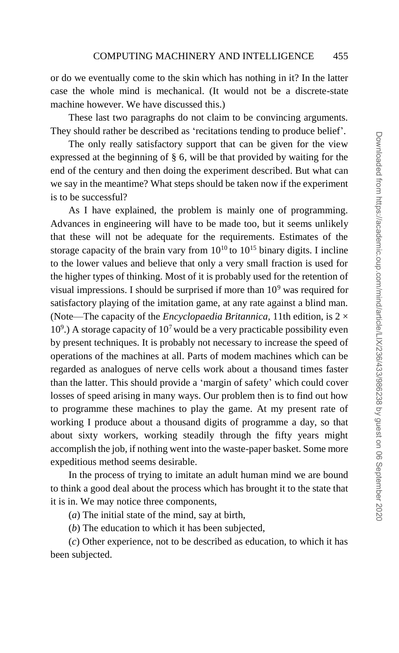or do we eventually come to the skin which has nothing in it? In the latter case the whole mind is mechanical. (It would not be a discrete-state machine however. We have discussed this.)

These last two paragraphs do not claim to be convincing arguments. They should rather be described as 'recitations tending to produce belief'.

The only really satisfactory support that can be given for the view expressed at the beginning of § 6, will be that provided by waiting for the end of the century and then doing the experiment described. But what can we say in the meantime? What steps should be taken now if the experiment is to be successful?

As I have explained, the problem is mainly one of programming. Advances in engineering will have to be made too, but it seems unlikely that these will not be adequate for the requirements. Estimates of the storage capacity of the brain vary from  $10^{10}$  to  $10^{15}$  binary digits. I incline to the lower values and believe that only a very small fraction is used for the higher types of thinking. Most of it is probably used for the retention of visual impressions. I should be surprised if more than  $10<sup>9</sup>$  was required for satisfactory playing of the imitation game, at any rate against a blind man. (Note—The capacity of the *Encyclopaedia Britannica*, 11th edition, is  $2 \times$  $10<sup>9</sup>$ .) A storage capacity of  $10<sup>7</sup>$  would be a very practicable possibility even by present techniques. It is probably not necessary to increase the speed of operations of the machines at all. Parts of modem machines which can be regarded as analogues of nerve cells work about a thousand times faster than the latter. This should provide a 'margin of safety' which could cover losses of speed arising in many ways. Our problem then is to find out how to programme these machines to play the game. At my present rate of working I produce about a thousand digits of programme a day, so that about sixty workers, working steadily through the fifty years might accomplish the job, if nothing went into the waste-paper basket. Some more expeditious method seems desirable.

In the process of trying to imitate an adult human mind we are bound to think a good deal about the process which has brought it to the state that it is in. We may notice three components,

(*a*) The initial state of the mind, say at birth,

(*b*) The education to which it has been subjected,

(*c*) Other experience, not to be described as education, to which it has been subjected.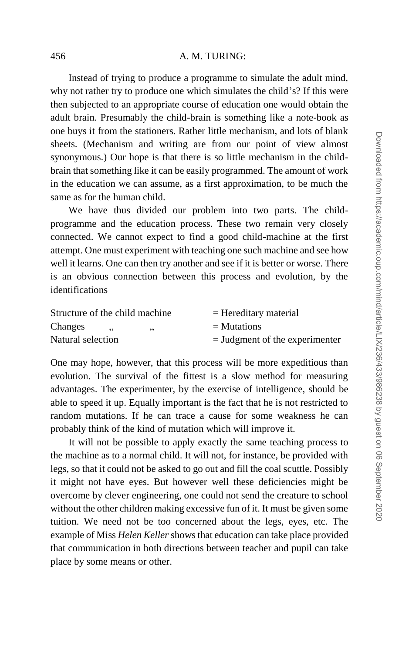Instead of trying to produce a programme to simulate the adult mind, why not rather try to produce one which simulates the child's? If this were then subjected to an appropriate course of education one would obtain the adult brain. Presumably the child-brain is something like a note-book as one buys it from the stationers. Rather little mechanism, and lots of blank sheets. (Mechanism and writing are from our point of view almost synonymous.) Our hope is that there is so little mechanism in the childbrain that something like it can be easily programmed. The amount of work in the education we can assume, as a first approximation, to be much the same as for the human child.

We have thus divided our problem into two parts. The childprogramme and the education process. These two remain very closely connected. We cannot expect to find a good child-machine at the first attempt. One must experiment with teaching one such machine and see how well it learns. One can then try another and see if it is better or worse. There is an obvious connection between this process and evolution, by the identifications

| Structure of the child machine | $=$ Hereditary material          |
|--------------------------------|----------------------------------|
| <b>Changes</b><br>,,           | $=$ Mutations                    |
| Natural selection              | $=$ Judgment of the experimenter |

One may hope, however, that this process will be more expeditious than evolution. The survival of the fittest is a slow method for measuring advantages. The experimenter, by the exercise of intelligence, should be able to speed it up. Equally important is the fact that he is not restricted to random mutations. If he can trace a cause for some weakness he can probably think of the kind of mutation which will improve it.

It will not be possible to apply exactly the same teaching process to the machine as to a normal child. It will not, for instance, be provided with legs, so that it could not be asked to go out and fill the coal scuttle. Possibly it might not have eyes. But however well these deficiencies might be overcome by clever engineering, one could not send the creature to school without the other children making excessive fun of it. It must be given some tuition. We need not be too concerned about the legs, eyes, etc. The example of Miss *Helen Keller* shows that education can take place provided that communication in both directions between teacher and pupil can take place by some means or other.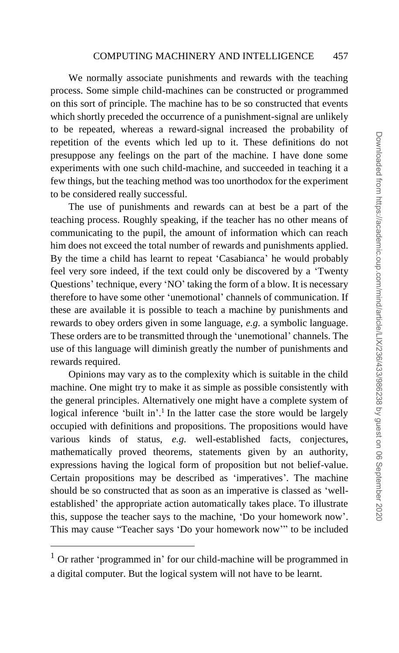We normally associate punishments and rewards with the teaching process. Some simple child-machines can be constructed or programmed on this sort of principle. The machine has to be so constructed that events which shortly preceded the occurrence of a punishment-signal are unlikely to be repeated, whereas a reward-signal increased the probability of repetition of the events which led up to it. These definitions do not presuppose any feelings on the part of the machine. I have done some experiments with one such child-machine, and succeeded in teaching it a few things, but the teaching method was too unorthodox for the experiment to be considered really successful.

The use of punishments and rewards can at best be a part of the teaching process. Roughly speaking, if the teacher has no other means of communicating to the pupil, the amount of information which can reach him does not exceed the total number of rewards and punishments applied. By the time a child has learnt to repeat 'Casabianca' he would probably feel very sore indeed, if the text could only be discovered by a 'Twenty Questions' technique, every 'NO' taking the form of a blow. It is necessary therefore to have some other 'unemotional' channels of communication. If these are available it is possible to teach a machine by punishments and rewards to obey orders given in some language, *e.g.* a symbolic language. These orders are to be transmitted through the 'unemotional' channels. The use of this language will diminish greatly the number of punishments and rewards required.

Opinions may vary as to the complexity which is suitable in the child machine. One might try to make it as simple as possible consistently with the general principles. Alternatively one might have a complete system of logical inference 'built in'.<sup>1</sup> In the latter case the store would be largely occupied with definitions and propositions. The propositions would have various kinds of status, *e.g.* well-established facts, conjectures, mathematically proved theorems, statements given by an authority, expressions having the logical form of proposition but not belief-value. Certain propositions may be described as 'imperatives'. The machine should be so constructed that as soon as an imperative is classed as 'wellestablished' the appropriate action automatically takes place. To illustrate this, suppose the teacher says to the machine, 'Do your homework now'. This may cause "Teacher says 'Do your homework now'" to be included

l

<sup>&</sup>lt;sup>1</sup> Or rather 'programmed in' for our child-machine will be programmed in a digital computer. But the logical system will not have to be learnt.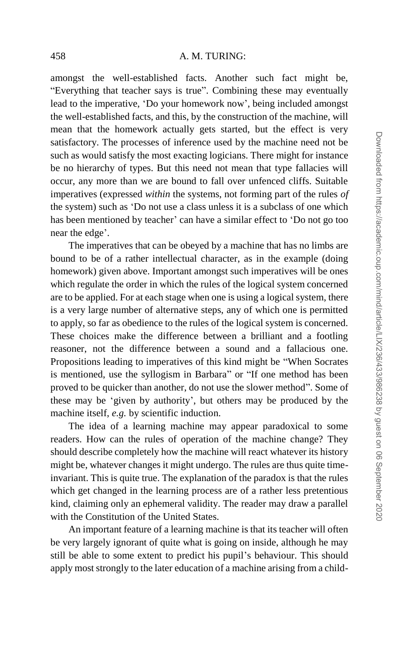amongst the well-established facts. Another such fact might be, "Everything that teacher says is true". Combining these may eventually lead to the imperative, 'Do your homework now', being included amongst the well-established facts, and this, by the construction of the machine, will mean that the homework actually gets started, but the effect is very satisfactory. The processes of inference used by the machine need not be such as would satisfy the most exacting logicians. There might for instance be no hierarchy of types. But this need not mean that type fallacies will occur, any more than we are bound to fall over unfenced cliffs. Suitable imperatives (expressed *within* the systems, not forming part of the rules *of* the system) such as 'Do not use a class unless it is a subclass of one which has been mentioned by teacher' can have a similar effect to 'Do not go too near the edge'.

The imperatives that can be obeyed by a machine that has no limbs are bound to be of a rather intellectual character, as in the example (doing homework) given above. Important amongst such imperatives will be ones which regulate the order in which the rules of the logical system concerned are to be applied. For at each stage when one is using a logical system, there is a very large number of alternative steps, any of which one is permitted to apply, so far as obedience to the rules of the logical system is concerned. These choices make the difference between a brilliant and a footling reasoner, not the difference between a sound and a fallacious one. Propositions leading to imperatives of this kind might be "When Socrates is mentioned, use the syllogism in Barbara" or "If one method has been proved to be quicker than another, do not use the slower method". Some of these may be 'given by authority', but others may be produced by the machine itself, *e.g.* by scientific induction.

The idea of a learning machine may appear paradoxical to some readers. How can the rules of operation of the machine change? They should describe completely how the machine will react whatever its history might be, whatever changes it might undergo. The rules are thus quite timeinvariant. This is quite true. The explanation of the paradox is that the rules which get changed in the learning process are of a rather less pretentious kind, claiming only an ephemeral validity. The reader may draw a parallel with the Constitution of the United States.

An important feature of a learning machine is that its teacher will often be very largely ignorant of quite what is going on inside, although he may still be able to some extent to predict his pupil's behaviour. This should apply most strongly to the later education of a machine arising from a child-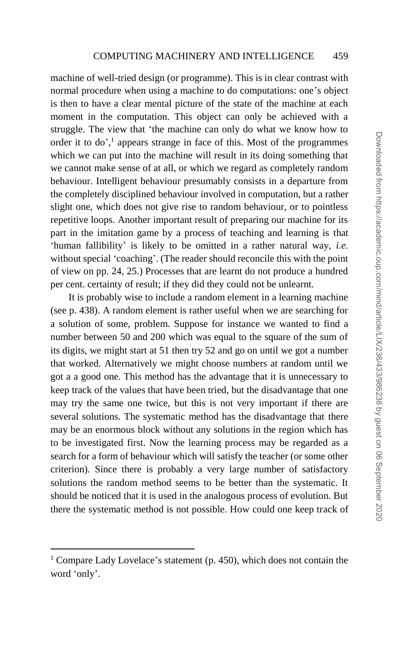machine of well-tried design (or programme). This is in clear contrast with normal procedure when using a machine to do computations: one's object is then to have a clear mental picture of the state of the machine at each moment in the computation. This object can only be achieved with a struggle. The view that 'the machine can only do what we know how to order it to do', 1 appears strange in face of this. Most of the programmes which we can put into the machine will result in its doing something that we cannot make sense of at all, or which we regard as completely random behaviour. Intelligent behaviour presumably consists in a departure from the completely disciplined behaviour involved in computation, but a rather slight one, which does not give rise to random behaviour, or to pointless repetitive loops. Another important result of preparing our machine for its part in the imitation game by a process of teaching and learning is that 'human fallibility' is likely to be omitted in a rather natural way, *i.e.* without special 'coaching'. (The reader should reconcile this with the point of view on pp. 24, 25.) Processes that are learnt do not produce a hundred per cent. certainty of result; if they did they could not be unlearnt.

It is probably wise to include a random element in a learning machine (see p. 438). A random element is rather useful when we are searching for a solution of some, problem. Suppose for instance we wanted to find a number between 50 and 200 which was equal to the square of the sum of its digits, we might start at 51 then try 52 and go on until we got a number that worked. Alternatively we might choose numbers at random until we got a a good one. This method has the advantage that it is unnecessary to keep track of the values that have been tried, but the disadvantage that one may try the same one twice, but this is not very important if there are several solutions. The systematic method has the disadvantage that there may be an enormous block without any solutions in the region which has to be investigated first. Now the learning process may be regarded as a search for a form of behaviour which will satisfy the teacher (or some other criterion). Since there is probably a very large number of satisfactory solutions the random method seems to be better than the systematic. It should be noticed that it is used in the analogous process of evolution. But there the systematic method is not possible. How could one keep track of

l

<sup>1</sup> Compare Lady Lovelace's statement (p. 450), which does not contain the word 'only'.